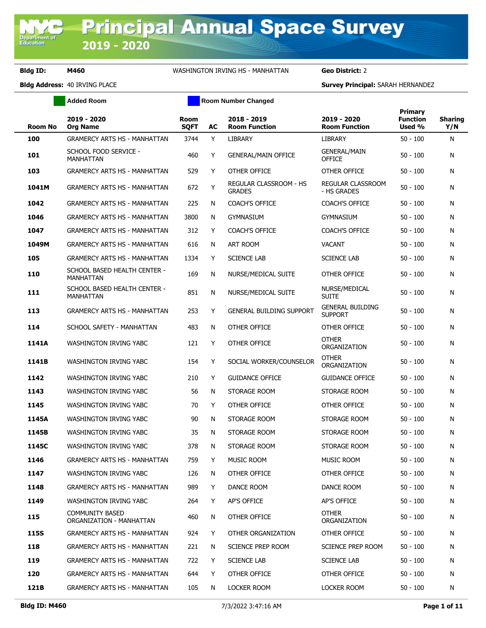Department o<br>Education

### **Bldg ID: M460** WASHINGTON IRVING HS - MANHATTAN **Geo District:** 2

**Added Room Room Room Number Changed** 

|                |                                                  |                            |    |                                         |                                           | <b>Primary</b>            |                       |
|----------------|--------------------------------------------------|----------------------------|----|-----------------------------------------|-------------------------------------------|---------------------------|-----------------------|
| <b>Room No</b> | 2019 - 2020<br><b>Org Name</b>                   | <b>Room</b><br><b>SQFT</b> | AC | 2018 - 2019<br><b>Room Function</b>     | 2019 - 2020<br><b>Room Function</b>       | <b>Function</b><br>Used % | <b>Sharing</b><br>Y/N |
| 100            | <b>GRAMERCY ARTS HS - MANHATTAN</b>              | 3744                       | Y  | <b>LIBRARY</b>                          | LIBRARY                                   | $50 - 100$                | N                     |
| 101            | SCHOOL FOOD SERVICE -<br><b>MANHATTAN</b>        | 460                        | Y  | <b>GENERAL/MAIN OFFICE</b>              | <b>GENERAL/MAIN</b><br><b>OFFICE</b>      | $50 - 100$                | N                     |
| 103            | <b>GRAMERCY ARTS HS - MANHATTAN</b>              | 529                        | Y  | OTHER OFFICE                            | OTHER OFFICE                              | $50 - 100$                | N                     |
| 1041M          | <b>GRAMERCY ARTS HS - MANHATTAN</b>              | 672                        | Y  | REGULAR CLASSROOM - HS<br><b>GRADES</b> | <b>REGULAR CLASSROOM</b><br>- HS GRADES   | $50 - 100$                | N                     |
| 1042           | <b>GRAMERCY ARTS HS - MANHATTAN</b>              | 225                        | N  | <b>COACH'S OFFICE</b>                   | <b>COACH'S OFFICE</b>                     | 50 - 100                  | N                     |
| 1046           | <b>GRAMERCY ARTS HS - MANHATTAN</b>              | 3800                       | N  | <b>GYMNASIUM</b>                        | GYMNASIUM                                 | $50 - 100$                | N                     |
| 1047           | <b>GRAMERCY ARTS HS - MANHATTAN</b>              | 312                        | Y  | <b>COACH'S OFFICE</b>                   | <b>COACH'S OFFICE</b>                     | 50 - 100                  | N                     |
| 1049M          | <b>GRAMERCY ARTS HS - MANHATTAN</b>              | 616                        | N  | ART ROOM                                | <b>VACANT</b>                             | 50 - 100                  | N                     |
| 105            | <b>GRAMERCY ARTS HS - MANHATTAN</b>              | 1334                       | Y  | <b>SCIENCE LAB</b>                      | <b>SCIENCE LAB</b>                        | $50 - 100$                | N                     |
| 110            | SCHOOL BASED HEALTH CENTER -<br><b>MANHATTAN</b> | 169                        | N  | NURSE/MEDICAL SUITE                     | OTHER OFFICE                              | $50 - 100$                | N                     |
| 111            | SCHOOL BASED HEALTH CENTER -<br><b>MANHATTAN</b> | 851                        | N  | NURSE/MEDICAL SUITE                     | NURSE/MEDICAL<br><b>SUITE</b>             | $50 - 100$                | N                     |
| 113            | <b>GRAMERCY ARTS HS - MANHATTAN</b>              | 253                        | Y  | <b>GENERAL BUILDING SUPPORT</b>         | <b>GENERAL BUILDING</b><br><b>SUPPORT</b> | 50 - 100                  | N                     |
| 114            | SCHOOL SAFETY - MANHATTAN                        | 483                        | N  | OTHER OFFICE                            | OTHER OFFICE                              | 50 - 100                  | N                     |
| 1141A          | WASHINGTON IRVING YABC                           | 121                        | Y  | OTHER OFFICE                            | <b>OTHER</b><br>ORGANIZATION              | $50 - 100$                | N                     |
| 1141B          | WASHINGTON IRVING YABC                           | 154                        | Y  | SOCIAL WORKER/COUNSELOR                 | <b>OTHER</b><br>ORGANIZATION              | 50 - 100                  | N                     |
| 1142           | WASHINGTON IRVING YABC                           | 210                        | Y  | <b>GUIDANCE OFFICE</b>                  | <b>GUIDANCE OFFICE</b>                    | $50 - 100$                | N                     |
| 1143           | WASHINGTON IRVING YABC                           | 56                         | N  | STORAGE ROOM                            | STORAGE ROOM                              | $50 - 100$                | N                     |
| 1145           | WASHINGTON IRVING YABC                           | 70                         | Y  | OTHER OFFICE                            | OTHER OFFICE                              | $50 - 100$                | N                     |
| 1145A          | WASHINGTON IRVING YABC                           | 90                         | N  | STORAGE ROOM                            | STORAGE ROOM                              | $50 - 100$                | N                     |
| 1145B          | <b>WASHINGTON IRVING YABC</b>                    | 35                         | N  | STORAGE ROOM                            | STORAGE ROOM                              | $50 - 100$                | N                     |
| 1145C          | <b>WASHINGTON IRVING YABC</b>                    | 378                        | N  | STORAGE ROOM                            | STORAGE ROOM                              | $50 - 100$                | N                     |
| 1146           | <b>GRAMERCY ARTS HS - MANHATTAN</b>              | 759                        | Y. | MUSIC ROOM                              | MUSIC ROOM                                | $50 - 100$                | N                     |
| 1147           | WASHINGTON IRVING YABC                           | 126                        | N  | OTHER OFFICE                            | OTHER OFFICE                              | $50 - 100$                | N                     |
| 1148           | <b>GRAMERCY ARTS HS - MANHATTAN</b>              | 989                        | Y  | DANCE ROOM                              | DANCE ROOM                                | $50 - 100$                | N                     |
| 1149           | WASHINGTON IRVING YABC                           | 264                        | Y  | AP'S OFFICE                             | AP'S OFFICE                               | $50 - 100$                | N                     |
| 115            | COMMUNITY BASED<br>ORGANIZATION - MANHATTAN      | 460                        | N  | OTHER OFFICE                            | <b>OTHER</b><br>ORGANIZATION              | $50 - 100$                | N                     |
| <b>115S</b>    | <b>GRAMERCY ARTS HS - MANHATTAN</b>              | 924                        | Y  | OTHER ORGANIZATION                      | OTHER OFFICE                              | $50 - 100$                | N                     |
| 118            | <b>GRAMERCY ARTS HS - MANHATTAN</b>              | 221                        | N  | SCIENCE PREP ROOM                       | SCIENCE PREP ROOM                         | 50 - 100                  | N                     |
| 119            | <b>GRAMERCY ARTS HS - MANHATTAN</b>              | 722                        | Y  | <b>SCIENCE LAB</b>                      | <b>SCIENCE LAB</b>                        | $50 - 100$                | N                     |
| 120            | GRAMERCY ARTS HS - MANHATTAN                     | 644                        | Y  | OTHER OFFICE                            | OTHER OFFICE                              | 50 - 100                  | N                     |
| 121B           | <b>GRAMERCY ARTS HS - MANHATTAN</b>              | 105                        | N  | LOCKER ROOM                             | LOCKER ROOM                               | $50 - 100$                | N                     |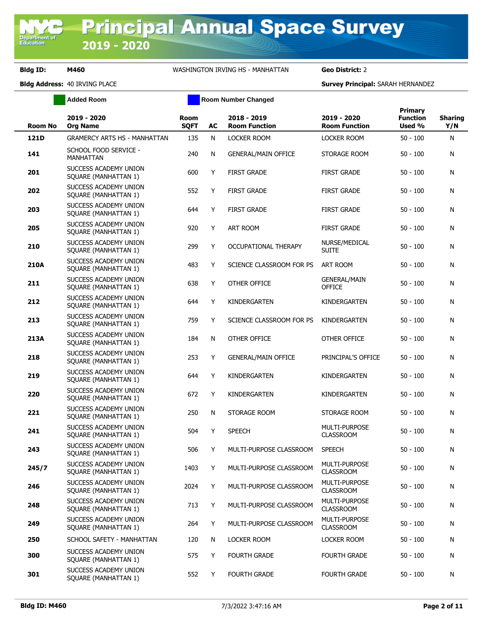|                | <b>Added Room</b>                             |                     |    | <b>Room Number Changed</b>          |                                          |                                      |                       |
|----------------|-----------------------------------------------|---------------------|----|-------------------------------------|------------------------------------------|--------------------------------------|-----------------------|
| <b>Room No</b> | 2019 - 2020<br><b>Org Name</b>                | Room<br><b>SQFT</b> | AC | 2018 - 2019<br><b>Room Function</b> | 2019 - 2020<br><b>Room Function</b>      | Primary<br><b>Function</b><br>Used % | <b>Sharing</b><br>Y/N |
| 121D           | <b>GRAMERCY ARTS HS - MANHATTAN</b>           | 135                 | N  | LOCKER ROOM                         | LOCKER ROOM                              | $50 - 100$                           | Ν                     |
| 141            | SCHOOL FOOD SERVICE -<br>MANHATTAN            | 240                 | N  | <b>GENERAL/MAIN OFFICE</b>          | STORAGE ROOM                             | $50 - 100$                           | Ν                     |
| 201            | SUCCESS ACADEMY UNION<br>SQUARE (MANHATTAN 1) | 600                 | Y  | <b>FIRST GRADE</b>                  | <b>FIRST GRADE</b>                       | $50 - 100$                           | Ν                     |
| 202            | SUCCESS ACADEMY UNION<br>SQUARE (MANHATTAN 1) | 552                 | Y  | <b>FIRST GRADE</b>                  | <b>FIRST GRADE</b>                       | $50 - 100$                           | Ν                     |
| 203            | SUCCESS ACADEMY UNION<br>SQUARE (MANHATTAN 1) | 644                 | Y  | <b>FIRST GRADE</b>                  | <b>FIRST GRADE</b>                       | $50 - 100$                           | Ν                     |
| 205            | SUCCESS ACADEMY UNION<br>SQUARE (MANHATTAN 1) | 920                 | Y  | <b>ART ROOM</b>                     | <b>FIRST GRADE</b>                       | $50 - 100$                           | Ν                     |
| 210            | SUCCESS ACADEMY UNION<br>SQUARE (MANHATTAN 1) | 299                 | Y  | OCCUPATIONAL THERAPY                | NURSE/MEDICAL<br><b>SUITE</b>            | $50 - 100$                           | Ν                     |
| 210A           | SUCCESS ACADEMY UNION<br>SQUARE (MANHATTAN 1) | 483                 | Υ  | SCIENCE CLASSROOM FOR PS            | ART ROOM                                 | $50 - 100$                           | Ν                     |
| 211            | SUCCESS ACADEMY UNION<br>SQUARE (MANHATTAN 1) | 638                 | Υ  | OTHER OFFICE                        | <b>GENERAL/MAIN</b><br><b>OFFICE</b>     | $50 - 100$                           | Ν                     |
| 212            | SUCCESS ACADEMY UNION<br>SQUARE (MANHATTAN 1) | 644                 | Υ  | KINDERGARTEN                        | KINDERGARTEN                             | $50 - 100$                           | Ν                     |
| 213            | SUCCESS ACADEMY UNION<br>SQUARE (MANHATTAN 1) | 759                 | Y  | SCIENCE CLASSROOM FOR PS            | KINDERGARTEN                             | $50 - 100$                           | Ν                     |
| 213A           | SUCCESS ACADEMY UNION<br>SQUARE (MANHATTAN 1) | 184                 | N  | OTHER OFFICE                        | OTHER OFFICE                             | $50 - 100$                           | Ν                     |
| 218            | SUCCESS ACADEMY UNION<br>SQUARE (MANHATTAN 1) | 253                 | Y  | <b>GENERAL/MAIN OFFICE</b>          | PRINCIPAL'S OFFICE                       | $50 - 100$                           | Ν                     |
| 219            | SUCCESS ACADEMY UNION<br>SQUARE (MANHATTAN 1) | 644                 | Y  | KINDERGARTEN                        | KINDERGARTEN                             | $50 - 100$                           | Ν                     |
| 220            | SUCCESS ACADEMY UNION<br>SQUARE (MANHATTAN 1) | 672                 | Y  | KINDERGARTEN                        | KINDERGARTEN                             | $50 - 100$                           | Ν                     |
| 221            | SUCCESS ACADEMY UNION<br>SQUARE (MANHATTAN 1) | 250                 | N  | STORAGE ROOM                        | STORAGE ROOM                             | $50 - 100$                           | Ν                     |
| 241            | SUCCESS ACADEMY UNION<br>SQUARE (MANHATTAN 1) | 504                 | Y  | <b>SPEECH</b>                       | MULTI-PURPOSE<br><b>CLASSROOM</b>        | $50 - 100$                           | Ν                     |
| 243            | SUCCESS ACADEMY UNION<br>SQUARE (MANHATTAN 1) | 506                 | Y  | MULTI-PURPOSE CLASSROOM             | <b>SPEECH</b>                            | $50 - 100$                           | N                     |
| 245/7          | SUCCESS ACADEMY UNION<br>SQUARE (MANHATTAN 1) | 1403                | Y  | MULTI-PURPOSE CLASSROOM             | MULTI-PURPOSE<br><b>CLASSROOM</b>        | $50 - 100$                           | N                     |
| 246            | SUCCESS ACADEMY UNION<br>SQUARE (MANHATTAN 1) | 2024                | Y  | MULTI-PURPOSE CLASSROOM             | MULTI-PURPOSE<br><b>CLASSROOM</b>        | $50 - 100$                           | N                     |
| 248            | SUCCESS ACADEMY UNION<br>SQUARE (MANHATTAN 1) | 713                 | Y  | MULTI-PURPOSE CLASSROOM             | MULTI-PURPOSE<br><b>CLASSROOM</b>        | $50 - 100$                           | Ν                     |
| 249            | SUCCESS ACADEMY UNION<br>SQUARE (MANHATTAN 1) | 264                 | Y  | MULTI-PURPOSE CLASSROOM             | <b>MULTI-PURPOSE</b><br><b>CLASSROOM</b> | $50 - 100$                           | Ν                     |
| 250            | SCHOOL SAFETY - MANHATTAN                     | 120                 | N  | LOCKER ROOM                         | LOCKER ROOM                              | $50 - 100$                           | Ν                     |
| 300            | SUCCESS ACADEMY UNION<br>SQUARE (MANHATTAN 1) | 575                 | Y  | <b>FOURTH GRADE</b>                 | <b>FOURTH GRADE</b>                      | $50 - 100$                           | Ν                     |
| 301            | SUCCESS ACADEMY UNION<br>SQUARE (MANHATTAN 1) | 552                 | Y  | <b>FOURTH GRADE</b>                 | <b>FOURTH GRADE</b>                      | $50 - 100$                           | N                     |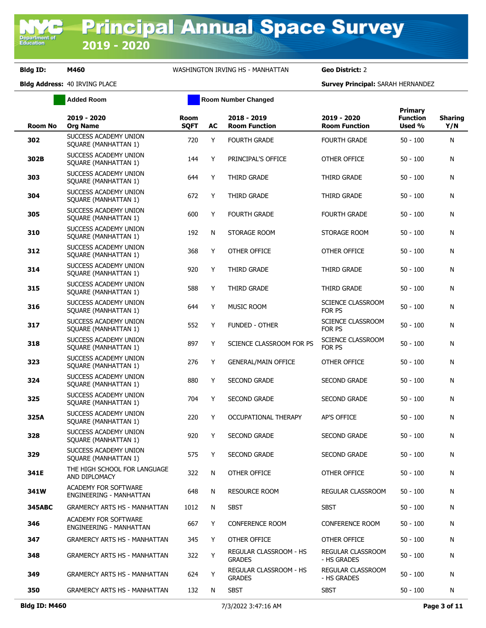|               | <b>Added Room</b>                                      |                            | <b>Room Number Changed</b> |                                                |                                     |                                      |                       |
|---------------|--------------------------------------------------------|----------------------------|----------------------------|------------------------------------------------|-------------------------------------|--------------------------------------|-----------------------|
| Room No       | 2019 - 2020<br><b>Org Name</b>                         | <b>Room</b><br><b>SQFT</b> | AC                         | 2018 - 2019<br><b>Room Function</b>            | 2019 - 2020<br><b>Room Function</b> | Primary<br><b>Function</b><br>Used % | <b>Sharing</b><br>Y/N |
| 302           | SUCCESS ACADEMY UNION<br>SQUARE (MANHATTAN 1)          | 720                        | Y                          | <b>FOURTH GRADE</b>                            | <b>FOURTH GRADE</b>                 | $50 - 100$                           | N                     |
| 302B          | SUCCESS ACADEMY UNION<br>SQUARE (MANHATTAN 1)          | 144                        | Y                          | PRINCIPAL'S OFFICE                             | OTHER OFFICE                        | $50 - 100$                           | N                     |
| 303           | SUCCESS ACADEMY UNION<br>SQUARE (MANHATTAN 1)          | 644                        | Y                          | THIRD GRADE                                    | THIRD GRADE                         | $50 - 100$                           | N                     |
| 304           | SUCCESS ACADEMY UNION<br>SQUARE (MANHATTAN 1)          | 672                        | Y                          | THIRD GRADE                                    | THIRD GRADE                         | $50 - 100$                           | Ν                     |
| 305           | SUCCESS ACADEMY UNION<br>SQUARE (MANHATTAN 1)          | 600                        | Y                          | <b>FOURTH GRADE</b>                            | <b>FOURTH GRADE</b>                 | $50 - 100$                           | N                     |
| 310           | SUCCESS ACADEMY UNION<br>SQUARE (MANHATTAN 1)          | 192                        | N                          | STORAGE ROOM                                   | STORAGE ROOM                        | $50 - 100$                           | Ν                     |
| 312           | SUCCESS ACADEMY UNION<br>SQUARE (MANHATTAN 1)          | 368                        | Y                          | OTHER OFFICE                                   | OTHER OFFICE                        | $50 - 100$                           | N                     |
| 314           | SUCCESS ACADEMY UNION<br>SQUARE (MANHATTAN 1)          | 920                        | Y                          | THIRD GRADE                                    | THIRD GRADE                         | 50 - 100                             | Ν                     |
| 315           | SUCCESS ACADEMY UNION<br>SQUARE (MANHATTAN 1)          | 588                        | Y                          | THIRD GRADE                                    | THIRD GRADE                         | $50 - 100$                           | N                     |
| 316           | SUCCESS ACADEMY UNION<br>SQUARE (MANHATTAN 1)          | 644                        | Y                          | <b>MUSIC ROOM</b>                              | SCIENCE CLASSROOM<br>FOR PS         | $50 - 100$                           | Ν                     |
| 317           | SUCCESS ACADEMY UNION<br>SQUARE (MANHATTAN 1)          | 552                        | Y                          | <b>FUNDED - OTHER</b>                          | SCIENCE CLASSROOM<br>FOR PS         | $50 - 100$                           | N                     |
| 318           | SUCCESS ACADEMY UNION<br>SQUARE (MANHATTAN 1)          | 897                        | Y                          | SCIENCE CLASSROOM FOR PS                       | SCIENCE CLASSROOM<br>FOR PS         | $50 - 100$                           | N                     |
| 323           | SUCCESS ACADEMY UNION<br>SQUARE (MANHATTAN 1)          | 276                        | Y                          | <b>GENERAL/MAIN OFFICE</b>                     | OTHER OFFICE                        | $50 - 100$                           | Ν                     |
| 324           | SUCCESS ACADEMY UNION<br>SQUARE (MANHATTAN 1)          | 880                        | Y                          | <b>SECOND GRADE</b>                            | <b>SECOND GRADE</b>                 | $50 - 100$                           | N                     |
| 325           | SUCCESS ACADEMY UNION<br>SQUARE (MANHATTAN 1)          | 704                        | Y                          | <b>SECOND GRADE</b>                            | <b>SECOND GRADE</b>                 | 50 - 100                             | N                     |
| 325A          | SUCCESS ACADEMY UNION<br>SQUARE (MANHATTAN 1)          | 220                        | Y                          | OCCUPATIONAL THERAPY                           | AP'S OFFICE                         | 50 - 100                             | N                     |
| 328           | SUCCESS ACADEMY UNION<br>SQUARE (MANHATTAN 1)          | 920                        | Y                          | <b>SECOND GRADE</b>                            | <b>SECOND GRADE</b>                 | 50 - 100                             | Ν                     |
| 329           | SUCCESS ACADEMY UNION<br>SQUARE (MANHATTAN 1)          | 575                        | Y                          | <b>SECOND GRADE</b>                            | <b>SECOND GRADE</b>                 | $50 - 100$                           | N                     |
| 341E          | THE HIGH SCHOOL FOR LANGUAGE<br>AND DIPLOMACY          | 322                        | N                          | OTHER OFFICE                                   | OTHER OFFICE                        | $50 - 100$                           | N                     |
| 341W          | <b>ACADEMY FOR SOFTWARE</b><br>ENGINEERING - MANHATTAN | 648                        | N                          | <b>RESOURCE ROOM</b>                           | REGULAR CLASSROOM                   | $50 - 100$                           | N                     |
| <b>345ABC</b> | <b>GRAMERCY ARTS HS - MANHATTAN</b>                    | 1012                       | N                          | <b>SBST</b>                                    | <b>SBST</b>                         | $50 - 100$                           | N                     |
| 346           | ACADEMY FOR SOFTWARE<br>ENGINEERING - MANHATTAN        | 667                        | Y                          | <b>CONFERENCE ROOM</b>                         | <b>CONFERENCE ROOM</b>              | $50 - 100$                           | N                     |
| 347           | <b>GRAMERCY ARTS HS - MANHATTAN</b>                    | 345                        | Y                          | OTHER OFFICE                                   | OTHER OFFICE                        | $50 - 100$                           | N                     |
| 348           | <b>GRAMERCY ARTS HS - MANHATTAN</b>                    | 322                        | Y                          | <b>REGULAR CLASSROOM - HS</b><br><b>GRADES</b> | REGULAR CLASSROOM<br>- HS GRADES    | $50 - 100$                           | N                     |
| 349           | <b>GRAMERCY ARTS HS - MANHATTAN</b>                    | 624                        | Y                          | REGULAR CLASSROOM - HS<br><b>GRADES</b>        | REGULAR CLASSROOM<br>- HS GRADES    | $50 - 100$                           | N                     |
| 350           | <b>GRAMERCY ARTS HS - MANHATTAN</b>                    | 132                        | N                          | <b>SBST</b>                                    | <b>SBST</b>                         | $50 - 100$                           | N                     |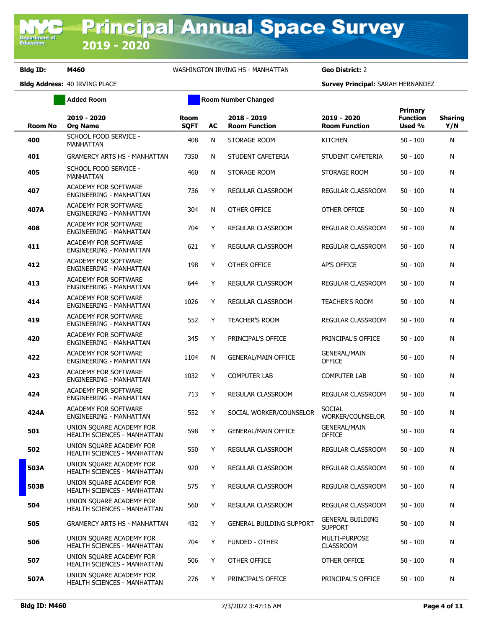|         | <b>Added Room</b>                                              |                            |    | <b>Room Number Changed</b>          |                                           |                                             |                       |
|---------|----------------------------------------------------------------|----------------------------|----|-------------------------------------|-------------------------------------------|---------------------------------------------|-----------------------|
| Room No | 2019 - 2020<br><b>Org Name</b>                                 | <b>Room</b><br><b>SQFT</b> | AC | 2018 - 2019<br><b>Room Function</b> | 2019 - 2020<br><b>Room Function</b>       | <b>Primary</b><br><b>Function</b><br>Used % | <b>Sharing</b><br>Y/N |
| 400     | SCHOOL FOOD SERVICE -<br><b>MANHATTAN</b>                      | 408                        | N  | STORAGE ROOM                        | <b>KITCHEN</b>                            | $50 - 100$                                  | N                     |
| 401     | <b>GRAMERCY ARTS HS - MANHATTAN</b>                            | 7350                       | N  | STUDENT CAFETERIA                   | STUDENT CAFETERIA                         | $50 - 100$                                  | Ν                     |
| 405     | SCHOOL FOOD SERVICE -<br>MANHATTAN                             | 460                        | N  | STORAGE ROOM                        | STORAGE ROOM                              | $50 - 100$                                  | Ν                     |
| 407     | ACADEMY FOR SOFTWARE<br>ENGINEERING - MANHATTAN                | 736                        | Y  | REGULAR CLASSROOM                   | REGULAR CLASSROOM                         | $50 - 100$                                  | Ν                     |
| 407A    | <b>ACADEMY FOR SOFTWARE</b><br>ENGINEERING - MANHATTAN         | 304                        | N  | OTHER OFFICE                        | OTHER OFFICE                              | $50 - 100$                                  | Ν                     |
| 408     | ACADEMY FOR SOFTWARE<br>ENGINEERING - MANHATTAN                | 704                        | Y  | REGULAR CLASSROOM                   | REGULAR CLASSROOM                         | $50 - 100$                                  | Ν                     |
| 411     | <b>ACADEMY FOR SOFTWARE</b><br>ENGINEERING - MANHATTAN         | 621                        | Y  | REGULAR CLASSROOM                   | REGULAR CLASSROOM                         | $50 - 100$                                  | Ν                     |
| 412     | ACADEMY FOR SOFTWARE<br>ENGINEERING - MANHATTAN                | 198                        | Y  | OTHER OFFICE                        | AP'S OFFICE                               | $50 - 100$                                  | Ν                     |
| 413     | <b>ACADEMY FOR SOFTWARE</b><br>ENGINEERING - MANHATTAN         | 644                        | Y  | <b>REGULAR CLASSROOM</b>            | REGULAR CLASSROOM                         | $50 - 100$                                  | N                     |
| 414     | ACADEMY FOR SOFTWARE<br>ENGINEERING - MANHATTAN                | 1026                       | Y  | <b>REGULAR CLASSROOM</b>            | <b>TEACHER'S ROOM</b>                     | $50 - 100$                                  | Ν                     |
| 419     | ACADEMY FOR SOFTWARE<br>ENGINEERING - MANHATTAN                | 552                        | Y  | <b>TEACHER'S ROOM</b>               | <b>REGULAR CLASSROOM</b>                  | $50 - 100$                                  | N                     |
| 420     | ACADEMY FOR SOFTWARE<br>ENGINEERING - MANHATTAN                | 345                        | Y  | PRINCIPAL'S OFFICE                  | PRINCIPAL'S OFFICE                        | $50 - 100$                                  | Ν                     |
| 422     | ACADEMY FOR SOFTWARE<br>ENGINEERING - MANHATTAN                | 1104                       | N  | <b>GENERAL/MAIN OFFICE</b>          | <b>GENERAL/MAIN</b><br><b>OFFICE</b>      | $50 - 100$                                  | N                     |
| 423     | ACADEMY FOR SOFTWARE<br>ENGINEERING - MANHATTAN                | 1032                       | Y  | <b>COMPUTER LAB</b>                 | <b>COMPUTER LAB</b>                       | $50 - 100$                                  | Ν                     |
| 424     | ACADEMY FOR SOFTWARE<br>ENGINEERING - MANHATTAN                | 713                        | Y  | REGULAR CLASSROOM                   | REGULAR CLASSROOM                         | $50 - 100$                                  | Ν                     |
| 424A    | ACADEMY FOR SOFTWARE<br>ENGINEERING - MANHATTAN                | 552                        | Y  | SOCIAL WORKER/COUNSELOR             | <b>SOCIAL</b><br>WORKER/COUNSELOR         | $50 - 100$                                  | Ν                     |
| 501     | UNION SOUARE ACADEMY FOR<br><b>HEALTH SCIENCES - MANHATTAN</b> | 598                        | Y  | <b>GENERAL/MAIN OFFICE</b>          | <b>GENERAL/MAIN</b><br><b>OFFICE</b>      | $50 - 100$                                  | N                     |
| 502     | UNION SOUARE ACADEMY FOR<br>HEALTH SCIENCES - MANHATTAN        | 550                        | Y  | REGULAR CLASSROOM                   | REGULAR CLASSROOM                         | 50 - 100                                    | N                     |
| 503A    | UNION SQUARE ACADEMY FOR<br>HEALTH SCIENCES - MANHATTAN        | 920                        | Y  | REGULAR CLASSROOM                   | REGULAR CLASSROOM                         | $50 - 100$                                  | N                     |
| 503B    | UNION SQUARE ACADEMY FOR<br>HEALTH SCIENCES - MANHATTAN        | 575                        | Y  | REGULAR CLASSROOM                   | REGULAR CLASSROOM                         | $50 - 100$                                  | Ν                     |
| 504     | UNION SQUARE ACADEMY FOR<br>HEALTH SCIENCES - MANHATTAN        | 560                        | Y  | REGULAR CLASSROOM                   | REGULAR CLASSROOM                         | $50 - 100$                                  | N                     |
| 505     | <b>GRAMERCY ARTS HS - MANHATTAN</b>                            | 432                        | Y  | GENERAL BUILDING SUPPORT            | <b>GENERAL BUILDING</b><br><b>SUPPORT</b> | $50 - 100$                                  | Ν                     |
| 506     | UNION SQUARE ACADEMY FOR<br>HEALTH SCIENCES - MANHATTAN        | 704                        | Y  | FUNDED - OTHER                      | MULTI-PURPOSE<br><b>CLASSROOM</b>         | $50 - 100$                                  | Ν                     |
| 507     | UNION SQUARE ACADEMY FOR<br>HEALTH SCIENCES - MANHATTAN        | 506                        | Y  | OTHER OFFICE                        | OTHER OFFICE                              | $50 - 100$                                  | N                     |
| 507A    | UNION SQUARE ACADEMY FOR<br>HEALTH SCIENCES - MANHATTAN        | 276                        | Y  | PRINCIPAL'S OFFICE                  | PRINCIPAL'S OFFICE                        | $50 - 100$                                  | Ν                     |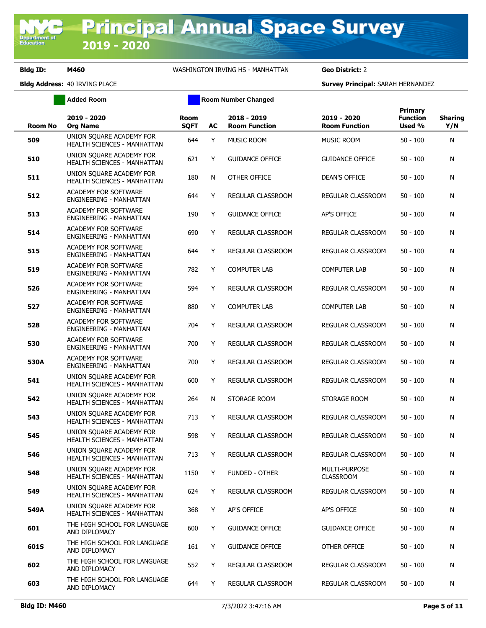**Added Room Room Room Number Changed** 

| Room No | 2019 - 2020<br><b>Org Name</b>                                 | <b>Room</b><br><b>SQFT</b> | AC | 2018 - 2019<br><b>Room Function</b> | 2019 - 2020<br><b>Room Function</b> | Primary<br><b>Function</b><br>Used % | <b>Sharing</b><br>Y/N |
|---------|----------------------------------------------------------------|----------------------------|----|-------------------------------------|-------------------------------------|--------------------------------------|-----------------------|
| 509     | UNION SQUARE ACADEMY FOR<br><b>HEALTH SCIENCES - MANHATTAN</b> | 644                        | Y  | MUSIC ROOM                          | MUSIC ROOM                          | $50 - 100$                           | N                     |
| 510     | UNION SQUARE ACADEMY FOR<br>HEALTH SCIENCES - MANHATTAN        | 621                        | Y  | <b>GUIDANCE OFFICE</b>              | <b>GUIDANCE OFFICE</b>              | 50 - 100                             | N                     |
| 511     | UNION SQUARE ACADEMY FOR<br><b>HEALTH SCIENCES - MANHATTAN</b> | 180                        | N  | OTHER OFFICE                        | <b>DEAN'S OFFICE</b>                | 50 - 100                             | N                     |
| 512     | ACADEMY FOR SOFTWARE<br>ENGINEERING - MANHATTAN                | 644                        | Y  | REGULAR CLASSROOM                   | <b>REGULAR CLASSROOM</b>            | $50 - 100$                           | N                     |
| 513     | <b>ACADEMY FOR SOFTWARE</b><br>ENGINEERING - MANHATTAN         | 190                        | Y  | <b>GUIDANCE OFFICE</b>              | AP'S OFFICE                         | 50 - 100                             | N                     |
| 514     | <b>ACADEMY FOR SOFTWARE</b><br>ENGINEERING - MANHATTAN         | 690                        | Y. | REGULAR CLASSROOM                   | REGULAR CLASSROOM                   | $50 - 100$                           | N                     |
| 515     | <b>ACADEMY FOR SOFTWARE</b><br>ENGINEERING - MANHATTAN         | 644                        | Y  | REGULAR CLASSROOM                   | REGULAR CLASSROOM                   | 50 - 100                             | N                     |
| 519     | <b>ACADEMY FOR SOFTWARE</b><br>ENGINEERING - MANHATTAN         | 782                        | Y  | <b>COMPUTER LAB</b>                 | COMPUTER LAB                        | $50 - 100$                           | N                     |
| 526     | <b>ACADEMY FOR SOFTWARE</b><br>ENGINEERING - MANHATTAN         | 594                        | Y  | REGULAR CLASSROOM                   | REGULAR CLASSROOM                   | 50 - 100                             | N                     |
| 527     | <b>ACADEMY FOR SOFTWARE</b><br>ENGINEERING - MANHATTAN         | 880                        | Y  | <b>COMPUTER LAB</b>                 | <b>COMPUTER LAB</b>                 | 50 - 100                             | N                     |
| 528     | <b>ACADEMY FOR SOFTWARE</b><br>ENGINEERING - MANHATTAN         | 704                        | Y  | REGULAR CLASSROOM                   | REGULAR CLASSROOM                   | 50 - 100                             | N                     |
| 530     | <b>ACADEMY FOR SOFTWARE</b><br>ENGINEERING - MANHATTAN         | 700                        | Y  | REGULAR CLASSROOM                   | REGULAR CLASSROOM                   | $50 - 100$                           | N                     |
| 530A    | <b>ACADEMY FOR SOFTWARE</b><br>ENGINEERING - MANHATTAN         | 700                        | Y  | REGULAR CLASSROOM                   | REGULAR CLASSROOM                   | $50 - 100$                           | N                     |
| 541     | UNION SOUARE ACADEMY FOR<br>HEALTH SCIENCES - MANHATTAN        | 600                        | Y  | REGULAR CLASSROOM                   | REGULAR CLASSROOM                   | $50 - 100$                           | N                     |
| 542     | UNION SOUARE ACADEMY FOR<br>HEALTH SCIENCES - MANHATTAN        | 264                        | N  | STORAGE ROOM                        | STORAGE ROOM                        | 50 - 100                             | N                     |
| 543     | UNION SOUARE ACADEMY FOR<br>HEALTH SCIENCES - MANHATTAN        | 713                        | Y  | REGULAR CLASSROOM                   | REGULAR CLASSROOM                   | 50 - 100                             | N                     |
| 545     | UNION SQUARE ACADEMY FOR<br>HEALTH SCIENCES - MANHATTAN        | 598                        | Y  | REGULAR CLASSROOM                   | REGULAR CLASSROOM                   | $50 - 100$                           | N                     |
| 546     | UNION SQUARE ACADEMY FOR<br>HEALTH SCIENCES - MANHATTAN        | 713                        | Y  | <b>REGULAR CLASSROOM</b>            | <b>REGULAR CLASSROOM</b>            | $50 - 100$                           | N                     |
| 548     | UNION SOUARE ACADEMY FOR<br>HEALTH SCIENCES - MANHATTAN        | 1150                       | Y  | <b>FUNDED - OTHER</b>               | MULTI-PURPOSE<br><b>CLASSROOM</b>   | $50 - 100$                           | N                     |
| 549     | UNION SOUARE ACADEMY FOR<br>HEALTH SCIENCES - MANHATTAN        | 624                        | Y  | <b>REGULAR CLASSROOM</b>            | REGULAR CLASSROOM                   | $50 - 100$                           | N                     |
| 549A    | UNION SQUARE ACADEMY FOR<br>HEALTH SCIENCES - MANHATTAN        | 368                        | Y. | AP'S OFFICE                         | AP'S OFFICE                         | 50 - 100                             | N                     |
| 601     | THE HIGH SCHOOL FOR LANGUAGE<br>AND DIPLOMACY                  | 600                        | Y  | <b>GUIDANCE OFFICE</b>              | <b>GUIDANCE OFFICE</b>              | 50 - 100                             | N                     |
| 601S    | THE HIGH SCHOOL FOR LANGUAGE<br>AND DIPLOMACY                  | 161                        | Y  | <b>GUIDANCE OFFICE</b>              | OTHER OFFICE                        | 50 - 100                             | N                     |
| 602     | THE HIGH SCHOOL FOR LANGUAGE<br>AND DIPLOMACY                  | 552                        | Y  | REGULAR CLASSROOM                   | REGULAR CLASSROOM                   | 50 - 100                             | N                     |
| 603     | THE HIGH SCHOOL FOR LANGUAGE<br>AND DIPLOMACY                  | 644                        | Y  | REGULAR CLASSROOM                   | REGULAR CLASSROOM                   | $50 - 100$                           | N                     |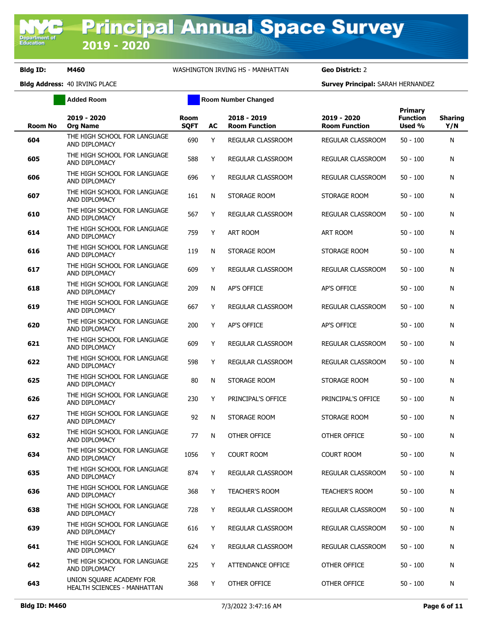**Added Room Room Room Number Changed** 

| Room No | 2019 - 2020<br><b>Org Name</b>                          | Room<br><b>SQFT</b> | AC | 2018 - 2019<br><b>Room Function</b> | 2019 - 2020<br><b>Room Function</b> | Primary<br><b>Function</b><br>Used % | <b>Sharing</b><br>Y/N |
|---------|---------------------------------------------------------|---------------------|----|-------------------------------------|-------------------------------------|--------------------------------------|-----------------------|
| 604     | THE HIGH SCHOOL FOR LANGUAGE<br>AND DIPLOMACY           | 690                 | Y  | REGULAR CLASSROOM                   | REGULAR CLASSROOM                   | $50 - 100$                           | N                     |
| 605     | THE HIGH SCHOOL FOR LANGUAGE<br>AND DIPLOMACY           | 588                 | Y  | REGULAR CLASSROOM                   | REGULAR CLASSROOM                   | $50 - 100$                           | N                     |
| 606     | THE HIGH SCHOOL FOR LANGUAGE<br>AND DIPLOMACY           | 696                 | Y  | REGULAR CLASSROOM                   | REGULAR CLASSROOM                   | $50 - 100$                           | N                     |
| 607     | THE HIGH SCHOOL FOR LANGUAGE<br>AND DIPLOMACY           | 161                 | N  | STORAGE ROOM                        | STORAGE ROOM                        | $50 - 100$                           | N                     |
| 610     | THE HIGH SCHOOL FOR LANGUAGE<br>AND DIPLOMACY           | 567                 | Y  | REGULAR CLASSROOM                   | <b>REGULAR CLASSROOM</b>            | 50 - 100                             | N                     |
| 614     | THE HIGH SCHOOL FOR LANGUAGE<br>AND DIPLOMACY           | 759                 | Y  | ART ROOM                            | ART ROOM                            | 50 - 100                             | N                     |
| 616     | THE HIGH SCHOOL FOR LANGUAGE<br>AND DIPLOMACY           | 119                 | N  | STORAGE ROOM                        | STORAGE ROOM                        | $50 - 100$                           | N                     |
| 617     | THE HIGH SCHOOL FOR LANGUAGE<br>AND DIPLOMACY           | 609                 | Y  | REGULAR CLASSROOM                   | REGULAR CLASSROOM                   | $50 - 100$                           | N                     |
| 618     | THE HIGH SCHOOL FOR LANGUAGE<br>AND DIPLOMACY           | 209                 | N  | AP'S OFFICE                         | <b>AP'S OFFICE</b>                  | $50 - 100$                           | N                     |
| 619     | THE HIGH SCHOOL FOR LANGUAGE<br>AND DIPLOMACY           | 667                 | Y  | REGULAR CLASSROOM                   | REGULAR CLASSROOM                   | $50 - 100$                           | N                     |
| 620     | THE HIGH SCHOOL FOR LANGUAGE<br>AND DIPLOMACY           | 200                 | Y  | <b>AP'S OFFICE</b>                  | AP'S OFFICE                         | $50 - 100$                           | N                     |
| 621     | THE HIGH SCHOOL FOR LANGUAGE<br>AND DIPLOMACY           | 609                 | Y  | REGULAR CLASSROOM                   | REGULAR CLASSROOM                   | $50 - 100$                           | N                     |
| 622     | THE HIGH SCHOOL FOR LANGUAGE<br>AND DIPLOMACY           | 598                 | Y  | REGULAR CLASSROOM                   | REGULAR CLASSROOM                   | $50 - 100$                           | N                     |
| 625     | THE HIGH SCHOOL FOR LANGUAGE<br>AND DIPLOMACY           | 80                  | N  | STORAGE ROOM                        | STORAGE ROOM                        | 50 - 100                             | N                     |
| 626     | THE HIGH SCHOOL FOR LANGUAGE<br>AND DIPLOMACY           | 230                 | Y  | PRINCIPAL'S OFFICE                  | PRINCIPAL'S OFFICE                  | $50 - 100$                           | N                     |
| 627     | THE HIGH SCHOOL FOR LANGUAGE<br>AND DIPLOMACY           | 92                  | N  | STORAGE ROOM                        | STORAGE ROOM                        | $50 - 100$                           | N                     |
| 632     | THE HIGH SCHOOL FOR LANGUAGE<br>AND DIPLOMACY           | 77                  | N  | OTHER OFFICE                        | OTHER OFFICE                        | $50 - 100$                           | N                     |
| 634     | THE HIGH SCHOOL FOR LANGUAGE<br>AND DIPLOMACY           | 1056                | Y  | <b>COURT ROOM</b>                   | <b>COURT ROOM</b>                   | $50 - 100$                           | N                     |
| 635     | THE HIGH SCHOOL FOR LANGUAGE<br>AND DIPLOMACY           | 874                 | Y  | REGULAR CLASSROOM                   | REGULAR CLASSROOM                   | $50 - 100$                           | N                     |
| 636     | THE HIGH SCHOOL FOR LANGUAGE<br>AND DIPLOMACY           | 368                 | Y  | <b>TEACHER'S ROOM</b>               | <b>TEACHER'S ROOM</b>               | $50 - 100$                           | N                     |
| 638     | THE HIGH SCHOOL FOR LANGUAGE<br>AND DIPLOMACY           | 728                 | Y  | REGULAR CLASSROOM                   | REGULAR CLASSROOM                   | $50 - 100$                           | N                     |
| 639     | THE HIGH SCHOOL FOR LANGUAGE<br>AND DIPLOMACY           | 616                 | Y  | <b>REGULAR CLASSROOM</b>            | REGULAR CLASSROOM                   | $50 - 100$                           | N                     |
| 641     | THE HIGH SCHOOL FOR LANGUAGE<br>AND DIPLOMACY           | 624                 | Y  | REGULAR CLASSROOM                   | REGULAR CLASSROOM                   | $50 - 100$                           | N                     |
| 642     | THE HIGH SCHOOL FOR LANGUAGE<br>AND DIPLOMACY           | 225                 | Y  | ATTENDANCE OFFICE                   | OTHER OFFICE                        | $50 - 100$                           | N                     |
| 643     | UNION SQUARE ACADEMY FOR<br>HEALTH SCIENCES - MANHATTAN | 368                 | Y  | OTHER OFFICE                        | OTHER OFFICE                        | $50 - 100$                           | N                     |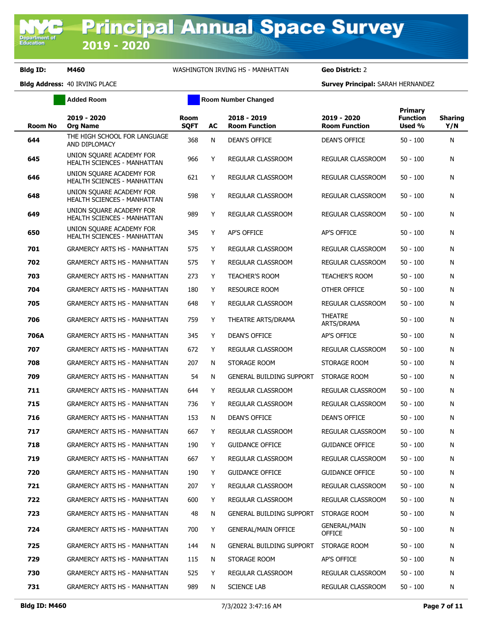**Added Room Room Room Number Changed** 

| <b>Room No</b> | 2019 - 2020<br><b>Org Name</b>                                 | Room<br><b>SQFT</b> | AC | 2018 - 2019<br><b>Room Function</b> | 2019 - 2020<br><b>Room Function</b> | Primary<br><b>Function</b><br>Used % | <b>Sharing</b><br>Y/N |
|----------------|----------------------------------------------------------------|---------------------|----|-------------------------------------|-------------------------------------|--------------------------------------|-----------------------|
| 644            | THE HIGH SCHOOL FOR LANGUAGE<br>AND DIPLOMACY                  | 368                 | N  | DEAN'S OFFICE                       | DEAN'S OFFICE                       | $50 - 100$                           | N                     |
| 645            | UNION SQUARE ACADEMY FOR<br>HEALTH SCIENCES - MANHATTAN        | 966                 | Y  | REGULAR CLASSROOM                   | REGULAR CLASSROOM                   | $50 - 100$                           | N                     |
| 646            | UNION SQUARE ACADEMY FOR<br>HEALTH SCIENCES - MANHATTAN        | 621                 | Y  | REGULAR CLASSROOM                   | REGULAR CLASSROOM                   | $50 - 100$                           | N                     |
| 648            | UNION SQUARE ACADEMY FOR<br>HEALTH SCIENCES - MANHATTAN        | 598                 | Y  | REGULAR CLASSROOM                   | REGULAR CLASSROOM                   | $50 - 100$                           | N                     |
| 649            | UNION SQUARE ACADEMY FOR<br><b>HEALTH SCIENCES - MANHATTAN</b> | 989                 | Y  | REGULAR CLASSROOM                   | REGULAR CLASSROOM                   | $50 - 100$                           | N                     |
| 650            | UNION SQUARE ACADEMY FOR<br>HEALTH SCIENCES - MANHATTAN        | 345                 | Y  | AP'S OFFICE                         | AP'S OFFICE                         | $50 - 100$                           | N                     |
| 701            | <b>GRAMERCY ARTS HS - MANHATTAN</b>                            | 575                 | Y  | REGULAR CLASSROOM                   | REGULAR CLASSROOM                   | $50 - 100$                           | N                     |
| 702            | <b>GRAMERCY ARTS HS - MANHATTAN</b>                            | 575                 | Y  | REGULAR CLASSROOM                   | REGULAR CLASSROOM                   | $50 - 100$                           | N                     |
| 703            | <b>GRAMERCY ARTS HS - MANHATTAN</b>                            | 273                 | Y  | <b>TEACHER'S ROOM</b>               | <b>TEACHER'S ROOM</b>               | $50 - 100$                           | N                     |
| 704            | <b>GRAMERCY ARTS HS - MANHATTAN</b>                            | 180                 | Y  | <b>RESOURCE ROOM</b>                | OTHER OFFICE                        | $50 - 100$                           | N                     |
| 705            | <b>GRAMERCY ARTS HS - MANHATTAN</b>                            | 648                 | Y  | REGULAR CLASSROOM                   | <b>REGULAR CLASSROOM</b>            | $50 - 100$                           | N                     |
| 706            | <b>GRAMERCY ARTS HS - MANHATTAN</b>                            | 759                 | Y  | THEATRE ARTS/DRAMA                  | <b>THEATRE</b><br>ARTS/DRAMA        | $50 - 100$                           | N                     |
| 706A           | <b>GRAMERCY ARTS HS - MANHATTAN</b>                            | 345                 | Y  | <b>DEAN'S OFFICE</b>                | AP'S OFFICE                         | $50 - 100$                           | N                     |
| 707            | <b>GRAMERCY ARTS HS - MANHATTAN</b>                            | 672                 | Y  | REGULAR CLASSROOM                   | REGULAR CLASSROOM                   | $50 - 100$                           | N                     |
| 708            | <b>GRAMERCY ARTS HS - MANHATTAN</b>                            | 207                 | N  | STORAGE ROOM                        | STORAGE ROOM                        | $50 - 100$                           | N                     |
| 709            | <b>GRAMERCY ARTS HS - MANHATTAN</b>                            | 54                  | N  | <b>GENERAL BUILDING SUPPORT</b>     | STORAGE ROOM                        | $50 - 100$                           | N                     |
| 711            | <b>GRAMERCY ARTS HS - MANHATTAN</b>                            | 644                 | Y  | REGULAR CLASSROOM                   | REGULAR CLASSROOM                   | $50 - 100$                           | N                     |
| 715            | <b>GRAMERCY ARTS HS - MANHATTAN</b>                            | 736                 | Y  | REGULAR CLASSROOM                   | REGULAR CLASSROOM                   | $50 - 100$                           | N                     |
| 716            | <b>GRAMERCY ARTS HS - MANHATTAN</b>                            | 153                 | N  | DEAN'S OFFICE                       | DEAN'S OFFICE                       | $50 - 100$                           | N                     |
| 717            | <b>GRAMERCY ARTS HS - MANHATTAN</b>                            | 667                 | Y  | <b>REGULAR CLASSROOM</b>            | REGULAR CLASSROOM                   | $50 - 100$                           | N                     |
| 718            | <b>GRAMERCY ARTS HS - MANHATTAN</b>                            | 190                 | Y  | <b>GUIDANCE OFFICE</b>              | <b>GUIDANCE OFFICE</b>              | $50 - 100$                           | N                     |
| 719            | <b>GRAMERCY ARTS HS - MANHATTAN</b>                            | 667                 | Y  | REGULAR CLASSROOM                   | REGULAR CLASSROOM                   | $50 - 100$                           | N                     |
| 720            | <b>GRAMERCY ARTS HS - MANHATTAN</b>                            | 190                 | Y  | <b>GUIDANCE OFFICE</b>              | <b>GUIDANCE OFFICE</b>              | $50 - 100$                           | N                     |
| 721            | <b>GRAMERCY ARTS HS - MANHATTAN</b>                            | 207                 | Y  | <b>REGULAR CLASSROOM</b>            | REGULAR CLASSROOM                   | $50 - 100$                           | N                     |
| 722            | <b>GRAMERCY ARTS HS - MANHATTAN</b>                            | 600                 | Y  | REGULAR CLASSROOM                   | REGULAR CLASSROOM                   | $50 - 100$                           | N                     |
| 723            | <b>GRAMERCY ARTS HS - MANHATTAN</b>                            | 48                  | N  | <b>GENERAL BUILDING SUPPORT</b>     | STORAGE ROOM                        | $50 - 100$                           | N                     |
| 724            | <b>GRAMERCY ARTS HS - MANHATTAN</b>                            | 700                 | Y  | <b>GENERAL/MAIN OFFICE</b>          | GENERAL/MAIN<br>OFFICE              | $50 - 100$                           | N                     |
| 725            | <b>GRAMERCY ARTS HS - MANHATTAN</b>                            | 144                 | N  | <b>GENERAL BUILDING SUPPORT</b>     | STORAGE ROOM                        | $50 - 100$                           | N                     |
| 729            | <b>GRAMERCY ARTS HS - MANHATTAN</b>                            | 115                 | N  | STORAGE ROOM                        | AP'S OFFICE                         | $50 - 100$                           | N                     |
| 730            | <b>GRAMERCY ARTS HS - MANHATTAN</b>                            | 525                 | Y  | REGULAR CLASSROOM                   | REGULAR CLASSROOM                   | 50 - 100                             | N                     |
| 731            | <b>GRAMERCY ARTS HS - MANHATTAN</b>                            | 989                 | N  | <b>SCIENCE LAB</b>                  | REGULAR CLASSROOM                   | $50 - 100$                           | N                     |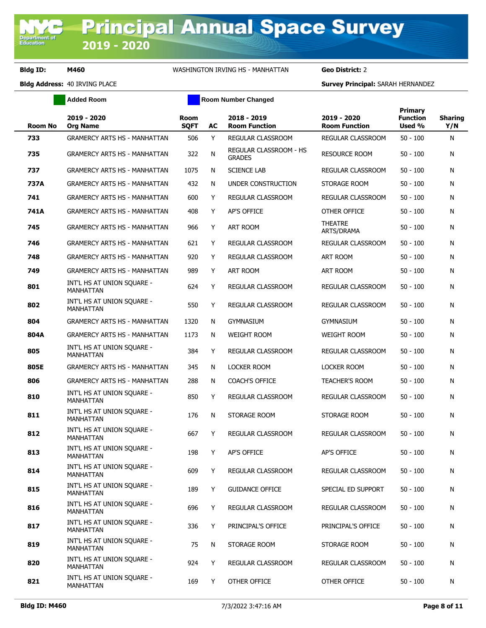**Added Room Room Room Number Changed** 

| <b>Room No</b> | 2019 - 2020<br><b>Org Name</b>                 | <b>Room</b><br><b>SQFT</b> | AC | 2018 - 2019<br><b>Room Function</b>     | 2019 - 2020<br><b>Room Function</b> | <b>Primary</b><br><b>Function</b><br>Used % | <b>Sharing</b><br>Y/N |
|----------------|------------------------------------------------|----------------------------|----|-----------------------------------------|-------------------------------------|---------------------------------------------|-----------------------|
| 733            | <b>GRAMERCY ARTS HS - MANHATTAN</b>            | 506                        | Y  | REGULAR CLASSROOM                       | REGULAR CLASSROOM                   | $50 - 100$                                  | N                     |
| 735            | <b>GRAMERCY ARTS HS - MANHATTAN</b>            | 322                        | N  | REGULAR CLASSROOM - HS<br><b>GRADES</b> | <b>RESOURCE ROOM</b>                | $50 - 100$                                  | N                     |
| 737            | <b>GRAMERCY ARTS HS - MANHATTAN</b>            | 1075                       | N  | <b>SCIENCE LAB</b>                      | REGULAR CLASSROOM                   | $50 - 100$                                  | N                     |
| 737A           | <b>GRAMERCY ARTS HS - MANHATTAN</b>            | 432                        | N  | UNDER CONSTRUCTION                      | STORAGE ROOM                        | $50 - 100$                                  | N                     |
| 741            | <b>GRAMERCY ARTS HS - MANHATTAN</b>            | 600                        | Y  | <b>REGULAR CLASSROOM</b>                | REGULAR CLASSROOM                   | $50 - 100$                                  | N                     |
| 741A           | <b>GRAMERCY ARTS HS - MANHATTAN</b>            | 408                        | Y  | AP'S OFFICE                             | OTHER OFFICE                        | $50 - 100$                                  | N                     |
| 745            | <b>GRAMERCY ARTS HS - MANHATTAN</b>            | 966                        | Y  | ART ROOM                                | <b>THEATRE</b><br>ARTS/DRAMA        | $50 - 100$                                  | N                     |
| 746            | <b>GRAMERCY ARTS HS - MANHATTAN</b>            | 621                        | Y  | REGULAR CLASSROOM                       | REGULAR CLASSROOM                   | $50 - 100$                                  | N                     |
| 748            | <b>GRAMERCY ARTS HS - MANHATTAN</b>            | 920                        | Y  | REGULAR CLASSROOM                       | ART ROOM                            | $50 - 100$                                  | N                     |
| 749            | <b>GRAMERCY ARTS HS - MANHATTAN</b>            | 989                        | Y  | ART ROOM                                | ART ROOM                            | $50 - 100$                                  | N                     |
| 801            | INT'L HS AT UNION SQUARE -<br>MANHATTAN        | 624                        | Y  | REGULAR CLASSROOM                       | REGULAR CLASSROOM                   | $50 - 100$                                  | N                     |
| 802            | INT'L HS AT UNION SQUARE -<br>MANHATTAN        | 550                        | Y  | REGULAR CLASSROOM                       | REGULAR CLASSROOM                   | $50 - 100$                                  | N                     |
| 804            | <b>GRAMERCY ARTS HS - MANHATTAN</b>            | 1320                       | N  | <b>GYMNASIUM</b>                        | <b>GYMNASIUM</b>                    | $50 - 100$                                  | N                     |
| 804A           | <b>GRAMERCY ARTS HS - MANHATTAN</b>            | 1173                       | N  | <b>WEIGHT ROOM</b>                      | <b>WEIGHT ROOM</b>                  | $50 - 100$                                  | N                     |
| 805            | INT'L HS AT UNION SQUARE -<br><b>MANHATTAN</b> | 384                        | Y  | REGULAR CLASSROOM                       | REGULAR CLASSROOM                   | $50 - 100$                                  | N                     |
| 805E           | <b>GRAMERCY ARTS HS - MANHATTAN</b>            | 345                        | N  | <b>LOCKER ROOM</b>                      | <b>LOCKER ROOM</b>                  | $50 - 100$                                  | N                     |
| 806            | <b>GRAMERCY ARTS HS - MANHATTAN</b>            | 288                        | N  | <b>COACH'S OFFICE</b>                   | <b>TEACHER'S ROOM</b>               | $50 - 100$                                  | N                     |
| 810            | INT'L HS AT UNION SQUARE -<br><b>MANHATTAN</b> | 850                        | Y  | REGULAR CLASSROOM                       | REGULAR CLASSROOM                   | $50 - 100$                                  | N                     |
| 811            | INT'L HS AT UNION SQUARE -<br><b>MANHATTAN</b> | 176                        | N  | STORAGE ROOM                            | STORAGE ROOM                        | $50 - 100$                                  | N                     |
| 812            | INT'L HS AT UNION SQUARE -<br><b>MANHATTAN</b> | 667                        | Y  | <b>REGULAR CLASSROOM</b>                | REGULAR CLASSROOM                   | $50 - 100$                                  | N                     |
| 813            | INT'L HS AT UNION SQUARE -<br>MANHATTAN        | 198                        | Y  | AP'S OFFICE                             | <b>AP'S OFFICE</b>                  | $50 - 100$                                  | N                     |
| 814            | INT'L HS AT UNION SQUARE -<br><b>MANHATTAN</b> | 609                        | Y  | REGULAR CLASSROOM                       | REGULAR CLASSROOM                   | $50 - 100$                                  | N                     |
| 815            | INT'L HS AT UNION SOUARE -<br>MANHATTAN        | 189                        | Y  | <b>GUIDANCE OFFICE</b>                  | SPECIAL ED SUPPORT                  | $50 - 100$                                  | N                     |
| 816            | INT'L HS AT UNION SQUARE -<br><b>MANHATTAN</b> | 696                        | Y  | REGULAR CLASSROOM                       | REGULAR CLASSROOM                   | $50 - 100$                                  | N                     |
| 817            | INT'L HS AT UNION SQUARE -<br><b>MANHATTAN</b> | 336                        | Y  | PRINCIPAL'S OFFICE                      | PRINCIPAL'S OFFICE                  | $50 - 100$                                  | N                     |
| 819            | INT'L HS AT UNION SQUARE -<br><b>MANHATTAN</b> | 75                         | N  | STORAGE ROOM                            | STORAGE ROOM                        | $50 - 100$                                  | N                     |
| 820            | INT'L HS AT UNION SQUARE -<br><b>MANHATTAN</b> | 924                        | Y  | REGULAR CLASSROOM                       | REGULAR CLASSROOM                   | $50 - 100$                                  | N                     |
| 821            | INT'L HS AT UNION SQUARE -<br>MANHATTAN        | 169                        | Y  | OTHER OFFICE                            | OTHER OFFICE                        | $50 - 100$                                  | N                     |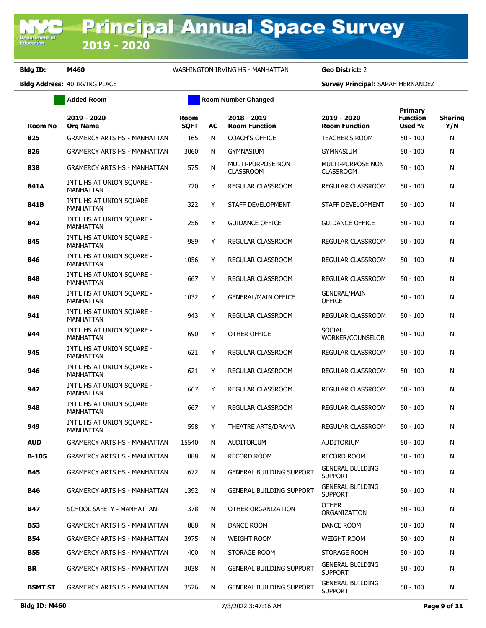**Department of**<br>Education

## **Bldg ID: M460** WASHINGTON IRVING HS - MANHATTAN **Geo District:** 2

|                | <b>Added Room</b>                              |                            |    | <b>Room Number Changed</b>            |                                              |                                             |                       |
|----------------|------------------------------------------------|----------------------------|----|---------------------------------------|----------------------------------------------|---------------------------------------------|-----------------------|
| <b>Room No</b> | 2019 - 2020<br><b>Org Name</b>                 | <b>Room</b><br><b>SQFT</b> | AC | 2018 - 2019<br><b>Room Function</b>   | 2019 - 2020<br><b>Room Function</b>          | <b>Primary</b><br><b>Function</b><br>Used % | <b>Sharing</b><br>Y/N |
| 825            | <b>GRAMERCY ARTS HS - MANHATTAN</b>            | 165                        | N  | <b>COACH'S OFFICE</b>                 | <b>TEACHER'S ROOM</b>                        | $50 - 100$                                  | N                     |
| 826            | <b>GRAMERCY ARTS HS - MANHATTAN</b>            | 3060                       | N  | <b>GYMNASIUM</b>                      | <b>GYMNASIUM</b>                             | $50 - 100$                                  | N                     |
| 838            | <b>GRAMERCY ARTS HS - MANHATTAN</b>            | 575                        | N  | MULTI-PURPOSE NON<br><b>CLASSROOM</b> | <b>MULTI-PURPOSE NON</b><br><b>CLASSROOM</b> | $50 - 100$                                  | N                     |
| 841A           | INT'L HS AT UNION SQUARE -<br>MANHATTAN        | 720                        | Y  | <b>REGULAR CLASSROOM</b>              | REGULAR CLASSROOM                            | $50 - 100$                                  | N                     |
| 841B           | INT'L HS AT UNION SQUARE -<br>MANHATTAN        | 322                        | Υ  | STAFF DEVELOPMENT                     | STAFF DEVELOPMENT                            | $50 - 100$                                  | N                     |
| 842            | INT'L HS AT UNION SQUARE -<br>MANHATTAN        | 256                        | Y  | <b>GUIDANCE OFFICE</b>                | <b>GUIDANCE OFFICE</b>                       | $50 - 100$                                  | N                     |
| 845            | INT'L HS AT UNION SQUARE -<br><b>MANHATTAN</b> | 989                        | Y  | REGULAR CLASSROOM                     | REGULAR CLASSROOM                            | $50 - 100$                                  | N                     |
| 846            | INT'L HS AT UNION SOUARE -<br>MANHATTAN        | 1056                       | Y  | REGULAR CLASSROOM                     | REGULAR CLASSROOM                            | $50 - 100$                                  | N                     |
| 848            | INT'L HS AT UNION SQUARE -<br>MANHATTAN        | 667                        | Y  | REGULAR CLASSROOM                     | REGULAR CLASSROOM                            | $50 - 100$                                  | N                     |
| 849            | INT'L HS AT UNION SOUARE -<br>MANHATTAN        | 1032                       | Y  | <b>GENERAL/MAIN OFFICE</b>            | <b>GENERAL/MAIN</b><br><b>OFFICE</b>         | $50 - 100$                                  | N                     |
| 941            | INT'L HS AT UNION SQUARE -<br><b>MANHATTAN</b> | 943                        | Υ  | <b>REGULAR CLASSROOM</b>              | <b>REGULAR CLASSROOM</b>                     | $50 - 100$                                  | N                     |
| 944            | INT'L HS AT UNION SQUARE -<br>MANHATTAN        | 690                        | Y  | OTHER OFFICE                          | <b>SOCIAL</b><br>WORKER/COUNSELOR            | $50 - 100$                                  | N                     |
| 945            | INT'L HS AT UNION SQUARE -<br>MANHATTAN        | 621                        | Y  | REGULAR CLASSROOM                     | REGULAR CLASSROOM                            | $50 - 100$                                  | N                     |
| 946            | INT'L HS AT UNION SQUARE -<br>MANHATTAN        | 621                        | Y  | REGULAR CLASSROOM                     | REGULAR CLASSROOM                            | $50 - 100$                                  | Ν                     |
| 947            | INT'L HS AT UNION SQUARE -<br>MANHATTAN        | 667                        | Y  | REGULAR CLASSROOM                     | REGULAR CLASSROOM                            | $50 - 100$                                  | N                     |
| 948            | INT'L HS AT UNION SQUARE -<br><b>MANHATTAN</b> | 667                        | Y  | REGULAR CLASSROOM                     | REGULAR CLASSROOM                            | $50 - 100$                                  | N                     |
| 949            | INT'L HS AT UNION SQUARE -<br><b>MANHATTAN</b> | 598                        | Y  | THEATRE ARTS/DRAMA                    | REGULAR CLASSROOM                            | $50 - 100$                                  | Ν                     |
| <b>AUD</b>     | <b>GRAMERCY ARTS HS - MANHATTAN</b>            | 15540                      | N  | <b>AUDITORIUM</b>                     | <b>AUDITORIUM</b>                            | $50 - 100$                                  | N                     |
| B-105          | <b>GRAMERCY ARTS HS - MANHATTAN</b>            | 888                        | N  | <b>RECORD ROOM</b>                    | <b>RECORD ROOM</b>                           | $50 - 100$                                  | N                     |
| <b>B45</b>     | <b>GRAMERCY ARTS HS - MANHATTAN</b>            | 672                        | N  | <b>GENERAL BUILDING SUPPORT</b>       | <b>GENERAL BUILDING</b><br><b>SUPPORT</b>    | $50 - 100$                                  | N                     |
| B46            | <b>GRAMERCY ARTS HS - MANHATTAN</b>            | 1392                       | N  | <b>GENERAL BUILDING SUPPORT</b>       | <b>GENERAL BUILDING</b><br><b>SUPPORT</b>    | $50 - 100$                                  | N                     |
| B47            | SCHOOL SAFETY - MANHATTAN                      | 378                        | N  | OTHER ORGANIZATION                    | <b>OTHER</b><br>ORGANIZATION                 | $50 - 100$                                  | N                     |
| <b>B53</b>     | <b>GRAMERCY ARTS HS - MANHATTAN</b>            | 888                        | Ν  | DANCE ROOM                            | DANCE ROOM                                   | $50 - 100$                                  | N                     |
| <b>B54</b>     | <b>GRAMERCY ARTS HS - MANHATTAN</b>            | 3975                       | N  | <b>WEIGHT ROOM</b>                    | <b>WEIGHT ROOM</b>                           | $50 - 100$                                  | N                     |
| <b>B55</b>     | <b>GRAMERCY ARTS HS - MANHATTAN</b>            | 400                        | N  | STORAGE ROOM                          | STORAGE ROOM                                 | $50 - 100$                                  | N                     |
| <b>BR</b>      | <b>GRAMERCY ARTS HS - MANHATTAN</b>            | 3038                       | N  | <b>GENERAL BUILDING SUPPORT</b>       | <b>GENERAL BUILDING</b><br><b>SUPPORT</b>    | $50 - 100$                                  | N                     |
| <b>BSMT ST</b> | <b>GRAMERCY ARTS HS - MANHATTAN</b>            | 3526                       | N  | <b>GENERAL BUILDING SUPPORT</b>       | <b>GENERAL BUILDING</b><br><b>SUPPORT</b>    | $50 - 100$                                  | N                     |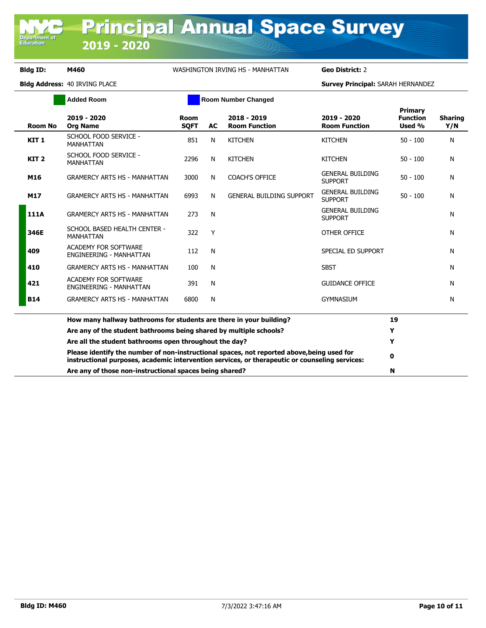**Department of**<br>Education

## **Bldg ID: M460** WASHINGTON IRVING HS - MANHATTAN **Geo District:** 2

|                  | <b>Added Room</b>                                                                                                                                                                            |                     |           | <b>Room Number Changed</b>          |                                           |                                      |                       |
|------------------|----------------------------------------------------------------------------------------------------------------------------------------------------------------------------------------------|---------------------|-----------|-------------------------------------|-------------------------------------------|--------------------------------------|-----------------------|
| Room No          | 2019 - 2020<br><b>Org Name</b>                                                                                                                                                               | Room<br><b>SOFT</b> | <b>AC</b> | 2018 - 2019<br><b>Room Function</b> | 2019 - 2020<br><b>Room Function</b>       | Primary<br><b>Function</b><br>Used % | <b>Sharing</b><br>Y/N |
| KIT <sub>1</sub> | SCHOOL FOOD SERVICE -<br><b>MANHATTAN</b>                                                                                                                                                    | 851                 | N         | <b>KITCHEN</b>                      | <b>KITCHEN</b>                            | $50 - 100$                           | N                     |
| KIT <sub>2</sub> | SCHOOL FOOD SERVICE -<br><b>MANHATTAN</b>                                                                                                                                                    | 2296                | N         | <b>KITCHEN</b>                      | <b>KITCHEN</b>                            | $50 - 100$                           | N                     |
| M16              | <b>GRAMERCY ARTS HS - MANHATTAN</b>                                                                                                                                                          | 3000                | N         | <b>COACH'S OFFICE</b>               | <b>GENERAL BUILDING</b><br><b>SUPPORT</b> | $50 - 100$                           | N                     |
| M17              | <b>GRAMERCY ARTS HS - MANHATTAN</b>                                                                                                                                                          | 6993                | N         | <b>GENERAL BUILDING SUPPORT</b>     | <b>GENERAL BUILDING</b><br><b>SUPPORT</b> | $50 - 100$                           | N                     |
| 111A             | <b>GRAMERCY ARTS HS - MANHATTAN</b>                                                                                                                                                          | 273                 | N         |                                     | <b>GENERAL BUILDING</b><br><b>SUPPORT</b> |                                      | N                     |
| 346E             | SCHOOL BASED HEALTH CENTER -<br><b>MANHATTAN</b>                                                                                                                                             | 322                 | Y         |                                     | OTHER OFFICE                              |                                      | N                     |
| 409              | <b>ACADEMY FOR SOFTWARE</b><br><b>ENGINEERING - MANHATTAN</b>                                                                                                                                | 112                 | N         |                                     | SPECIAL ED SUPPORT                        |                                      | N                     |
| 410              | <b>GRAMERCY ARTS HS - MANHATTAN</b>                                                                                                                                                          | 100                 | N         |                                     | <b>SBST</b>                               |                                      | N                     |
| 421              | <b>ACADEMY FOR SOFTWARE</b><br><b>ENGINEERING - MANHATTAN</b>                                                                                                                                | 391                 | N         |                                     | <b>GUIDANCE OFFICE</b>                    |                                      | N                     |
| <b>B14</b>       | <b>GRAMERCY ARTS HS - MANHATTAN</b>                                                                                                                                                          | 6800                | N         |                                     | <b>GYMNASIUM</b>                          |                                      | N                     |
|                  | How many hallway bathrooms for students are there in your building?                                                                                                                          |                     |           |                                     |                                           | 19                                   |                       |
|                  | Are any of the student bathrooms being shared by multiple schools?                                                                                                                           |                     |           |                                     |                                           | Y                                    |                       |
|                  | Are all the student bathrooms open throughout the day?                                                                                                                                       |                     |           |                                     |                                           | Y                                    |                       |
|                  | Please identify the number of non-instructional spaces, not reported above, being used for<br>instructional purposes, academic intervention services, or therapeutic or counseling services: |                     |           |                                     |                                           | 0                                    |                       |
|                  | Are any of those non-instructional spaces being shared?                                                                                                                                      |                     |           |                                     |                                           | N                                    |                       |